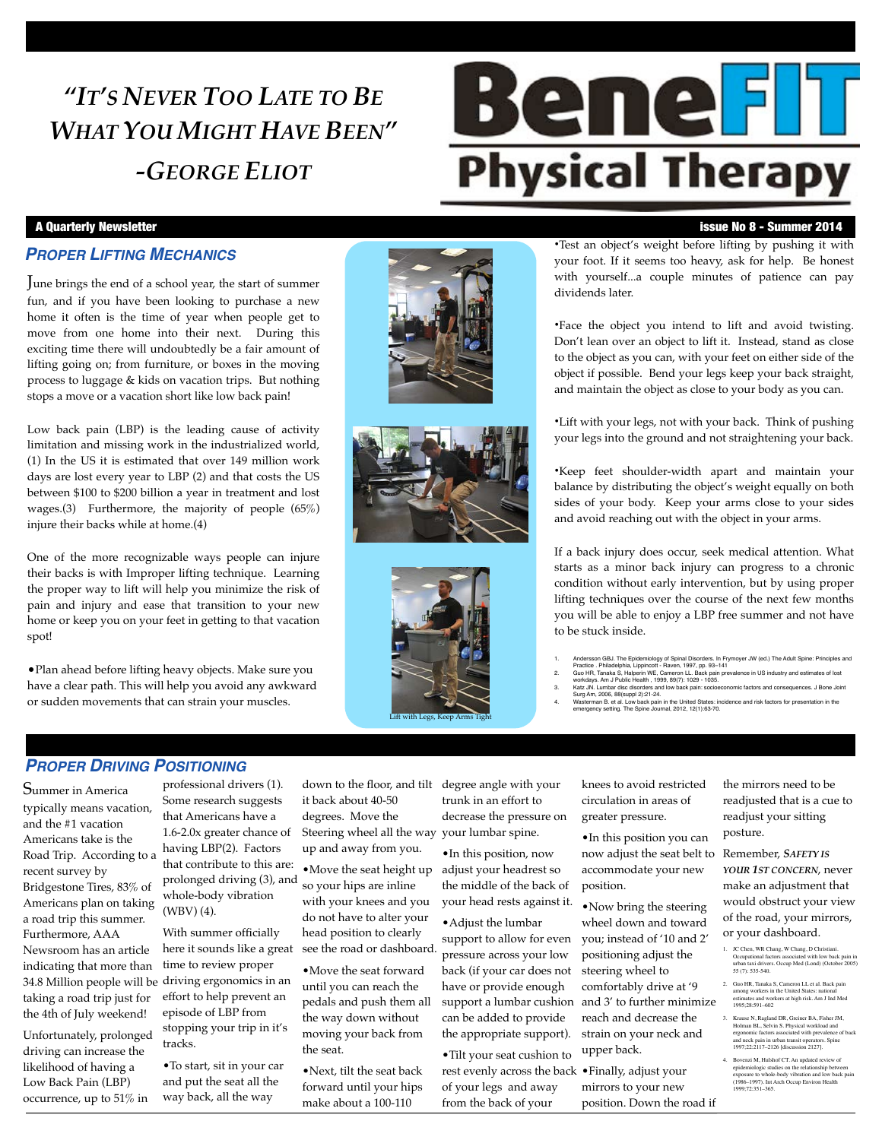## *"IT'S NEVER TOO LATE TO BE WHAT YOU MIGHT HAVE BEEN" -GEORGE ELIOT*

# **Benefil Physical Therapy**

#### *PROPER LIFTING MECHANICS*

June brings the end of a school year, the start of summer fun, and if you have been looking to purchase a new home it often is the time of year when people get to move from one home into their next. During this exciting time there will undoubtedly be a fair amount of lifting going on; from furniture, or boxes in the moving process to luggage & kids on vacation trips. But nothing stops a move or a vacation short like low back pain!

Low back pain (LBP) is the leading cause of activity limitation and missing work in the industrialized world, (1) In the US it is estimated that over 149 million work days are lost every year to LBP (2) and that costs the US between \$100 to \$200 billion a year in treatment and lost wages.(3) Furthermore, the majority of people (65%) injure their backs while at home.(4)

One of the more recognizable ways people can injure their backs is with Improper lifting technique. Learning the proper way to lift will help you minimize the risk of pain and injury and ease that transition to your new home or keep you on your feet in getting to that vacation spot!

•Plan ahead before lifting heavy objects. Make sure you have a clear path. This will help you avoid any awkward or sudden movements that can strain your muscles.







#### A Quarterly Newsletter issue No 8 - Summer 2014

•Test an object's weight before lifting by pushing it with your foot. If it seems too heavy, ask for help. Be honest with yourself...a couple minutes of patience can pay dividends later.

•Face the object you intend to lift and avoid twisting. Don't lean over an object to lift it. Instead, stand as close to the object as you can, with your feet on either side of the object if possible. Bend your legs keep your back straight, and maintain the object as close to your body as you can.

•Lift with your legs, not with your back. Think of pushing your legs into the ground and not straightening your back.

•Keep feet shoulder-width apart and maintain your balance by distributing the object's weight equally on both sides of your body. Keep your arms close to your sides and avoid reaching out with the object in your arms.

If a back injury does occur, seek medical attention. What starts as a minor back injury can progress to a chronic condition without early intervention, but by using proper lifting techniques over the course of the next few months you will be able to enjoy a LBP free summer and not have to be stuck inside.

- 
- 1. Andersson GBJ. The Epidemiology of Spinal Disorders. In Frymoyer JW (ed.) The Adult Spine: Principles and<br>2. Guo HR, Tanaka S, Halperin WE, Cameron LL. Back pain prevalence in US industry and estimates of lost<br>2. Guo HR
- 
- 4. Wasterman B. et al. Low back pain in the United States: incidence and risk factors for presentation in the emergency setting. The Spine Journal, 2012, 12(1):63-70.

### *PROPER DRIVING POSITIONING*

Summer in America typically means vacation, and the #1 vacation Americans take is the Road Trip. According to a recent survey by Bridgestone Tires, 83% of Americans plan on taking a road trip this summer. Furthermore, AAA Newsroom has an article indicating that more than taking a road trip just for the 4th of July weekend!

Unfortunately, prolonged driving can increase the likelihood of having a Low Back Pain (LBP) occurrence, up to 51% in

professional drivers (1). Some research suggests that Americans have a 1.6-2.0x greater chance of having LBP(2). Factors that contribute to this are: prolonged driving (3), and whole-body vibration (WBV) (4).

34.8 Million people will be driving ergonomics in an With summer officially here it sounds like a great time to review proper effort to help prevent an episode of LBP from stopping your trip in it's tracks.

> •To start, sit in your car and put the seat all the way back, all the way

down to the floor, and tilt degree angle with your it back about 40-50 degrees. Move the Steering wheel all the way your lumbar spine. up and away from you.

•Move the seat height up so your hips are inline with your knees and you do not have to alter your head position to clearly see the road or dashboard.

•Move the seat forward until you can reach the pedals and push them all the way down without moving your back from the seat.

•Next, tilt the seat back forward until your hips make about a 100-110

trunk in an effort to decrease the pressure on

•In this position, now adjust your headrest so the middle of the back of your head rests against it.

•Adjust the lumbar support to allow for even pressure across your low back (if your car does not have or provide enough support a lumbar cushion can be added to provide the appropriate support).

•Tilt your seat cushion to rest evenly across the back •Finally, adjust your of your legs and away from the back of your

knees to avoid restricted circulation in areas of greater pressure.

•In this position you can now adjust the seat belt to Remember, *SAFETY IS*  accommodate your new

•Now bring the steering wheel down and toward you; instead of '10 and 2' positioning adjust the steering wheel to comfortably drive at '9 and 3' to further minimize reach and decrease the strain on your neck and upper back.

mirrors to your new position. Down the road if the mirrors need to be readjusted that is a cue to readjust your sitting posture.

*YOUR 1ST CONCERN*, never make an adjustment that would obstruct your view of the road, your mirrors, or your dashboard.

- 
- 1. JC Chen, WR Chang, W Chang, D Christiani. Occupational factors associated with low back pain in urban taxi drivers. Occup Med (Lond) (October 2005) 55 (7): 535-540.
- 2. Guo HR, Tanaka S, Cameron LL et al. Back pain among workers in the United States: national estimates and workers at high risk. Am J Ind Med 1995;28:591–602
- 3. Krause N, Ragland DR, Greiner BA, Fisher JM,<br>Holman BL, Selvin S. Physical workload and<br>ergonomic factors associated with prevalence of back<br>and neck pain in urban transit operators. Spine<br>1997;22:2117-2126 [discussion
- 4. Bovenzi M, Hulshof CT. An updated review of epidemiologic studies on the relationship between exposure to whole-body vibration and low back pain (1986–1997). Int Arch Occup Environ Health 1999;72:351–365.

position.